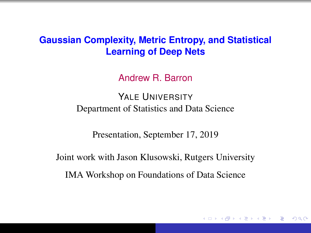#### **Gaussian Complexity, Metric Entropy, and Statistical Learning of Deep Nets**

Andrew R. Barron

YALE UNIVERSITY Department of Statistics and Data Science

Presentation, September 17, 2019

Joint work with Jason Klusowski, Rutgers University

IMA Workshop on Foundations of Data Science

K 何 ▶ K ヨ ▶ K ヨ ▶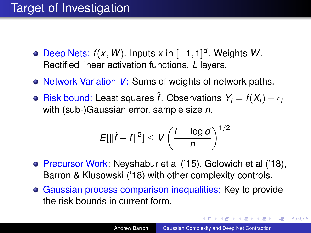# Target of Investigation

- Deep Nets: *f*(*x*, *W*). Inputs *x* in [−1, 1] *d* . Weights *W*. Rectified linear activation functions. *L* layers.
- Network Variation *V*: Sums of weights of network paths.
- Risk bound: Least squares  $\hat{f}$ . Observations  $Y_i = f(X_i) + \epsilon_i$ with (sub-)Gaussian error, sample size *n*.

$$
E[\|\hat{f} - f\|^2] \le V\left(\frac{L + \log d}{n}\right)^{1/2}
$$

- Precursor Work: Neyshabur et al ('15), Golowich et al ('18), Barron & Klusowski ('18) with other complexity controls.
- Gaussian process comparison inequalities: Key to provide the risk bounds in current form.

**K ロ ▶ K 伺 ▶ K ヨ ▶ K ヨ ▶** 

 $\Rightarrow$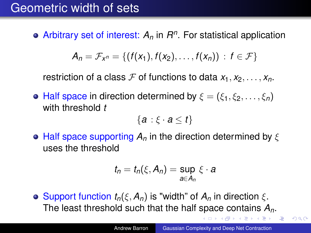#### Geometric width of sets

Arbitrary set of interest: *A<sup>n</sup>* in *R n* . For statistical application

$$
A_n = \mathcal{F}_{X^n} = \{ (f(x_1), f(x_2), \ldots, f(x_n)) : f \in \mathcal{F} \}
$$

restriction of a class F of functions to data  $x_1, x_2, \ldots, x_n$ .

**• Half space in direction determined by**  $\xi = (\xi_1, \xi_2, \ldots, \xi_n)$ with threshold *t*

$$
\{a:\xi\cdot a\leq t\}
$$

 $\bullet$  Half space supporting  $A_n$  in the direction determined by  $\xi$ uses the threshold

$$
t_n = t_n(\xi, A_n) = \sup_{a \in A_n} \xi \cdot a
$$

**o** Support function  $t_n(\xi, A_n)$  is "width" of  $A_n$  in direction  $\xi$ . The least threshold such that the half space contains *An*.

ミメスミメー 正

<span id="page-2-0"></span> $2Q$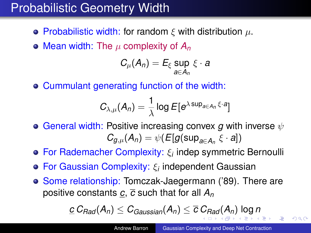# Probabilistic Geometry Width

- **Probabilistic width: for random ξ with distribution**  $\mu$ **.**
- $\bullet$  Mean width: The  $\mu$  complexity of  $A_n$

$$
C_{\mu}(A_n) = E_{\xi} \sup_{a \in A_n} \xi \cdot a
$$

Cummulant generating function of the width:

$$
C_{\lambda,\mu}(A_n) = \frac{1}{\lambda} \log E[e^{\lambda \sup_{a \in A_n} \xi \cdot a}]
$$

- **General width: Positive increasing convex** *q* **with inverse**  $ψ$  $C_{g,\mu}(A_n) = \psi(E[g(\sup_{a \in A_n} \xi \cdot a])$
- For Rademacher Complexity: ξ*<sup>i</sup>* indep symmetric Bernoulli
- For Gaussian Complexity: ξ*<sup>i</sup>* independent Gaussian
- Some relationship: Tomczak-Jaegermann ('89). There are positive constants *c*, *c* such that for all *A<sup>n</sup>*

<span id="page-3-0"></span>
$$
\underline{c} \, C_{\text{Rad}}(A_n) \leq C_{\text{Gaussian}}(A_n) \leq \overline{c} \, C_{\text{Rad}}(A_n) \, \log n
$$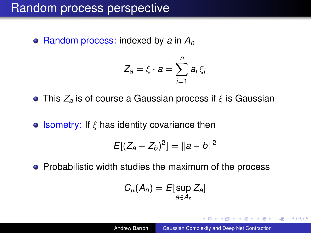#### Random process perspective

Random process: indexed by *a* in *A<sup>n</sup>*

$$
Z_a = \xi \cdot a = \sum_{i=1}^n a_i \xi_i
$$

**•** This *Z<sub>a</sub>* is of course a Gaussian process if *ξ* is Gaussian

**• Isometry:** If  $\xi$  has identity covariance then

$$
E[(Z_a - Z_b)^2] = ||a - b||^2
$$

• Probabilistic width studies the maximum of the process

<span id="page-4-0"></span>
$$
C_{\mu}(A_n) = E[\sup_{a \in A_n} Z_a]
$$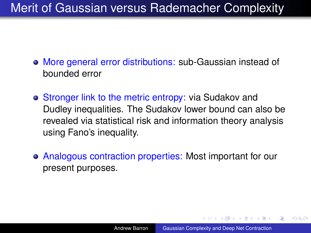#### Merit of Gaussian versus Rademacher Complexity

- More general error distributions: sub-Gaussian instead of bounded error
- Stronger link to the metric entropy: via Sudakov and Dudley inequalities. The Sudakov lower bound can also be revealed via statistical risk and information theory analysis using Fano's inequality.
- Analogous contraction properties: Most important for our present purposes.

イロト イ押 トイヨ トイヨト

 $2990$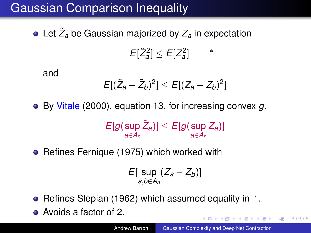# Gaussian Comparison Inequality

Let *Z*˜ *<sup>a</sup>* be Gaussian majorized by *Z<sup>a</sup>* in expectation  $E[\tilde{Z}_a^2] \leq E[Z_a^2]$ ∗

and

$$
E[(\tilde{Z}_a-\tilde{Z}_b)^2]\leq E[(Z_a-Z_b)^2]
$$

By Vitale (2000), equation 13, for increasing convex *g*,

$$
E[g(\sup_{a\in A_n}\tilde Z_a)]\leq E[g(\sup_{a\in A_n}Z_a)]
$$

• Refines Fernique (1975) which worked with

$$
E[\sup_{a,b\in A_n}(Z_a-Z_b)]
$$

- Refines Slepian (1962) which assumed equality in  $*$ .
- Avoids a factor of 2.

<span id="page-6-0"></span> $2990$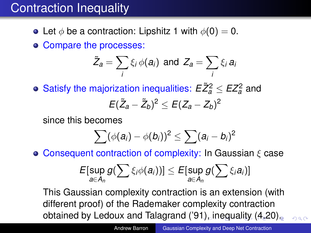# Contraction Inequality

- Let  $\phi$  be a contraction: Lipshitz 1 with  $\phi(0) = 0$ .
- Compare the processes:

$$
\tilde{Z}_a = \sum_i \xi_i \phi(a_i) \text{ and } Z_a = \sum_i \xi_i a_i
$$

Satisfy the majorization inequalities:  $E \tilde{Z}_a^2 \leq E Z_a^2$  and

$$
E(\tilde{Z}_a-\tilde{Z}_b)^2\leq E(Z_a-Z_b)^2
$$

since this becomes

$$
\sum (\phi(a_i) - \phi(b_i))^2 \leq \sum (a_i - b_i)^2
$$

**• Consequent contraction of complexity: In Gaussian**  $\xi$  **case** 

<span id="page-7-0"></span>
$$
E[\sup_{a\in A_n} g(\sum \xi_i \phi(a_i))] \leq E[\sup_{a\in A_n} g(\sum \xi_i a_i)]
$$

This Gaussian complexity contraction is an extension (with different proof) of the Rademaker complexity contraction obtained by Ledoux and Talagrand ('9[1\),](#page-6-0) [in](#page-8-0)[e](#page-6-0)[q](#page-7-0)[ua](#page-8-0)lity  $(4.20)$ .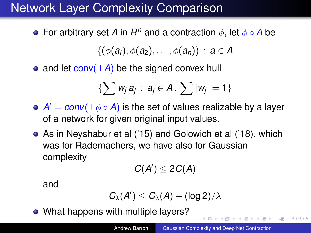# Network Layer Complexity Comparison

For arbitrary set *A* in  $R^n$  and a contraction  $\phi$ , let  $\phi \circ A$  be

$$
\{(\phi(a_i), \phi(a_2), \ldots, \phi(a_n)) \, : \, a \in A
$$

• and let  $conv(\pm A)$  be the signed convex hull

$$
\{\sum w_j \,\underline{a}_j\,:\, \underline{a}_j\in A\,,\,\sum |w_j|=1\}
$$

- $A' = conv(\pm \phi \circ A)$  is the set of values realizable by a layer of a network for given original input values.
- As in Neyshabur et al ('15) and Golowich et al ('18), which was for Rademachers, we have also for Gaussian complexity

$$
C(A')\leq 2C(A)
$$

and

$$
C_\lambda(A')\leq C_\lambda(A)+(\log 2)/\lambda
$$

• What happens with multiple layers?

<span id="page-8-0"></span>4 (D) 4 (F) 4 (E) 4 (E) 4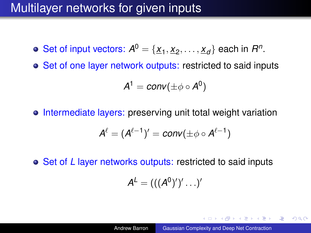#### Multilayer networks for given inputs

- Set of input vectors:  $A^0 = \{ \underline{x}_1, \underline{x}_2, \ldots, \underline{x}_d \}$  each in  $R^n$ .
- Set of one layer network outputs: restricted to said inputs

$$
A^1 = conv(\pm \phi \circ A^0)
$$

o Intermediate layers: preserving unit total weight variation

$$
A^{\ell}=(A^{\ell-1})' = conv(\pm \phi \circ A^{\ell-1})
$$

**o** Set of *L* layer networks outputs: restricted to said inputs

$$
\mathcal{A}^{\mathcal{L}} = (((\mathcal{A}^{0})')' \ldots)'
$$

イロト イ押 トイヨ トイヨ トー

重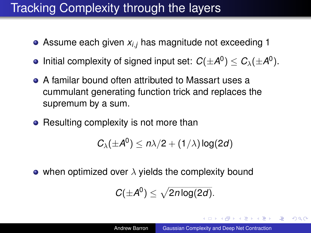#### Tracking Complexity through the layers

- Assume each given *xi*,*<sup>j</sup>* has magnitude not exceeding 1
- Initial complexity of signed input set:  $C(\pm A^0) \leq C_{\lambda}(\pm A^0)$ .
- A familar bound often attributed to Massart uses a cummulant generating function trick and replaces the supremum by a sum.
- Resulting complexity is not more than

$$
C_{\lambda}(\pm A^0)\leq n\lambda/2+(1/\lambda)\log(2d)
$$

• when optimized over  $\lambda$  yields the complexity bound

$$
C(\pm A^0)\leq \sqrt{2n\log(2d)}.
$$

◆ロ→ ◆*同→* → ミ→ → ミ→ → 三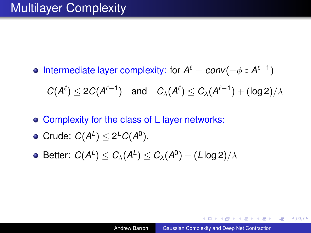Intermediate layer complexity: for  $A^{\ell} = conv(\pm \phi \circ A^{\ell-1})$ 

 $C(A^{\ell}) \leq 2C(A^{\ell-1})$  and  $C_{\lambda}(A^{\ell}) \leq C_{\lambda}(A^{\ell-1}) + (\log 2)/\lambda$ 

- Complexity for the class of L layer networks:
- Crude:  $C(A^L) \leq 2^L C(A^0)$ .
- $\mathsf{Better}\colon\thinspace \mathcal{C}(\mathcal{A}^{\mathsf{L}})\leq \mathcal{C}_\lambda(\mathcal{A}^{\mathsf{L}})\leq \mathcal{C}_\lambda(\mathcal{A}^0)+(\mathsf{L}\log2)/\lambda$

KOD KARD KED KED E YOKA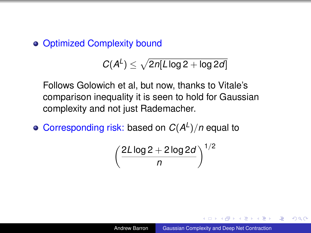Optimized Complexity bound

$$
C(A^L) \leq \sqrt{2n[L\log 2 + \log 2d]}
$$

Follows Golowich et al, but now, thanks to Vitale's comparison inequality it is seen to hold for Gaussian complexity and not just Rademacher.

Corresponding risk: based on  $C(A^L)/n$  equal to

$$
\left(\frac{2L\log 2+2\log 2d}{n}\right)^{1/2}
$$

 $2Q$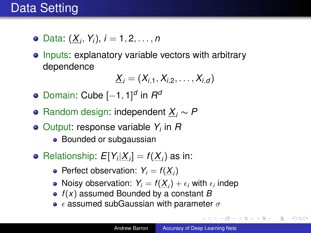- Data: (*X<sup>i</sup>* , *Yi*), *i* = 1, 2, . . . , *n*
- Inputs: explanatory variable vectors with arbitrary dependence

$$
\underline{X}_i=(X_{i,1},X_{i,2},\ldots,X_{i,d})
$$

- Domain: Cube  $[-1, 1]^d$  in  $R^d$
- Random design: independent *X<sup>i</sup>* ∼ *P*
- Output: response variable *Y<sup>i</sup>* in *R*
	- Bounded or subgaussian
- Relationship:  $E[Y_i | \underline{X}_i] = f(\underline{X}_i)$  as in:
	- Perfect observation:  $Y_i = f(\underline{X}_i)$
	- Noisy observation:  $Y_i = f(\underline{X}_i) + \epsilon_i$  with  $\epsilon_i$  indep
	- *f*(*x*) assumed Bounded by a constant *B*
	- $\epsilon$  assumed subGaussian with parameter  $\sigma$

**K ロ ▶ K 伊 ▶ K ヨ ▶ K ヨ ▶** 

÷.  $QQ$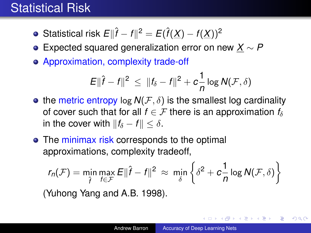#### <span id="page-14-0"></span>Statistical Risk

- Statistical risk  $E\Vert \hat{f} f \Vert^2 = E(\hat{f}(\underline{X}) f(\underline{X}))^2$
- Expected squared generalization error on new *X* ∼ *P*
- Approximation, complexity trade-off

$$
E\|\hat{f}-f\|^2 \, \leq \, \|f_{\delta}-f\|^2 + c\frac{1}{n}\log N(\mathcal{F},\delta)
$$

- the metric entropy log  $N(F, \delta)$  is the smallest log cardinality of cover such that for all  $f \in \mathcal{F}$  there is an approximation  $f_\delta$ in the cover with  $||f_{\delta} - f|| < \delta$ .
- The minimax risk corresponds to the optimal approximations, complexity tradeoff,

$$
r_n(\mathcal{F}) = \min_{\hat{f}} \max_{f \in \mathcal{F}} E \|\hat{f} - f\|^2 \approx \min_{\delta} \left\{ \delta^2 + c \frac{1}{n} \log N(\mathcal{F}, \delta) \right\}
$$

(Yuhong Yang and A.B. 1998).

KOD KAP KED KED E LORO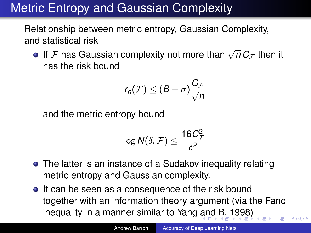# <span id="page-15-0"></span>Metric Entropy and Gaussian Complexity

Relationship between metric entropy, Gaussian Complexity, and statistical risk

If  $\cal F$  has Gaussian complexity not more than  $\sqrt{n}\,C_{\cal F}$  then it has the risk bound

$$
r_n(\mathcal{F}) \leq (B+\sigma)\frac{C_{\mathcal{F}}}{\sqrt{n}}
$$

and the metric entropy bound

$$
\log \mathsf{N}(\delta,\mathcal{F}) \leq \frac{16C_{\mathcal{F}}^2}{\delta^2}
$$

- The latter is an instance of a Sudakov inequality relating metric entropy and Gaussian complexity.
- It can be seen as a consequence of the risk bound together with an information theory argument (via the Fano inequality in a manner similar to Yang [an](#page-14-0)[d](#page-16-0) [B](#page-14-0)[. 1](#page-15-0)[9](#page-16-0)98)

 $\Omega$